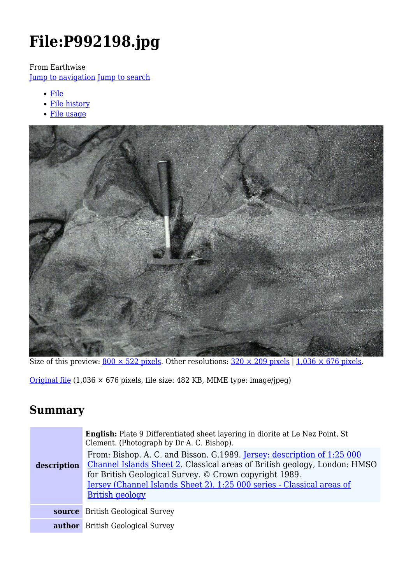# **File:P992198.jpg**

From Earthwise

[Jump to navigation](#page--1-0) [Jump to search](#page--1-0)

- [File](#page--1-0)
- [File history](#page--1-0)
- [File usage](#page--1-0)



Size of this preview:  $800 \times 522$  pixels. Other resolutions:  $320 \times 209$  pixels | 1,036  $\times$  676 pixels.

[Original file](http://earthwise.bgs.ac.uk/images/b/b7/P992198.jpg) (1,036 × 676 pixels, file size: 482 KB, MIME type: image/jpeg)

### **Summary**

| description | <b>English:</b> Plate 9 Differentiated sheet layering in diorite at Le Nez Point, St<br>Clement. (Photograph by Dr A. C. Bishop).<br>From: Bishop. A. C. and Bisson. G.1989. Jersey: description of 1:25 000<br>Channel Islands Sheet 2. Classical areas of British geology, London: HMSO<br>for British Geological Survey. © Crown copyright 1989.<br>Jersey (Channel Islands Sheet 2). 1:25 000 series - Classical areas of<br><b>British geology</b> |
|-------------|---------------------------------------------------------------------------------------------------------------------------------------------------------------------------------------------------------------------------------------------------------------------------------------------------------------------------------------------------------------------------------------------------------------------------------------------------------|
|             | <b>source</b> British Geological Survey                                                                                                                                                                                                                                                                                                                                                                                                                 |
|             | <b>author</b> British Geological Survey                                                                                                                                                                                                                                                                                                                                                                                                                 |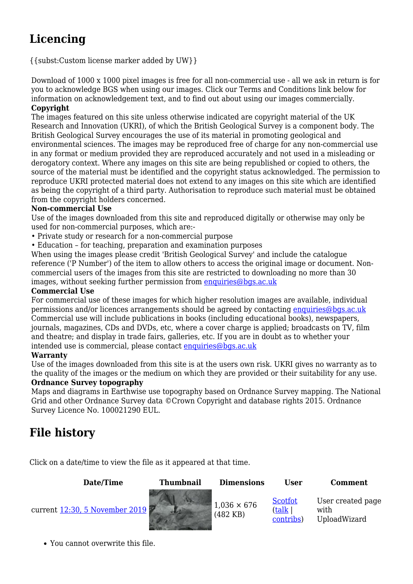## **Licencing**

{{subst:Custom license marker added by UW}}

Download of 1000 x 1000 pixel images is free for all non-commercial use - all we ask in return is for you to acknowledge BGS when using our images. Click our Terms and Conditions link below for information on acknowledgement text, and to find out about using our images commercially. **Copyright**

The images featured on this site unless otherwise indicated are copyright material of the UK Research and Innovation (UKRI), of which the British Geological Survey is a component body. The British Geological Survey encourages the use of its material in promoting geological and environmental sciences. The images may be reproduced free of charge for any non-commercial use in any format or medium provided they are reproduced accurately and not used in a misleading or derogatory context. Where any images on this site are being republished or copied to others, the source of the material must be identified and the copyright status acknowledged. The permission to reproduce UKRI protected material does not extend to any images on this site which are identified as being the copyright of a third party. Authorisation to reproduce such material must be obtained from the copyright holders concerned.

#### **Non-commercial Use**

Use of the images downloaded from this site and reproduced digitally or otherwise may only be used for non-commercial purposes, which are:-

- Private study or research for a non-commercial purpose
- Education for teaching, preparation and examination purposes

When using the images please credit 'British Geological Survey' and include the catalogue reference ('P Number') of the item to allow others to access the original image or document. Noncommercial users of the images from this site are restricted to downloading no more than 30 images, without seeking further permission from [enquiries@bgs.ac.uk](mailto:enquiries@bgs.ac.uk)

#### **Commercial Use**

For commercial use of these images for which higher resolution images are available, individual permissions and/or licences arrangements should be agreed by contacting [enquiries@bgs.ac.uk](mailto:enquiries@bgs.ac.uk) Commercial use will include publications in books (including educational books), newspapers, journals, magazines, CDs and DVDs, etc, where a cover charge is applied; broadcasts on TV, film and theatre; and display in trade fairs, galleries, etc. If you are in doubt as to whether your intended use is commercial, please contact  $enquiries@bas.ac.uk$ 

#### **Warranty**

Use of the images downloaded from this site is at the users own risk. UKRI gives no warranty as to the quality of the images or the medium on which they are provided or their suitability for any use.

#### **Ordnance Survey topography**

Maps and diagrams in Earthwise use topography based on Ordnance Survey mapping. The National Grid and other Ordnance Survey data ©Crown Copyright and database rights 2015. Ordnance Survey Licence No. 100021290 EUL.

### **File history**

Click on a date/time to view the file as it appeared at that time.

**Date/Time Thumbnail Dimensions User Comment**

current [12:30, 5 November 2019](http://earthwise.bgs.ac.uk/images/b/b7/P992198.jpg)



(482 KB)

[Scotfot](http://earthwise.bgs.ac.uk/index.php/User:Scotfot) ([talk](http://earthwise.bgs.ac.uk/index.php/User_talk:Scotfot) | [contribs](http://earthwise.bgs.ac.uk/index.php/Special:Contributions/Scotfot)) User created page with UploadWizard

You cannot overwrite this file.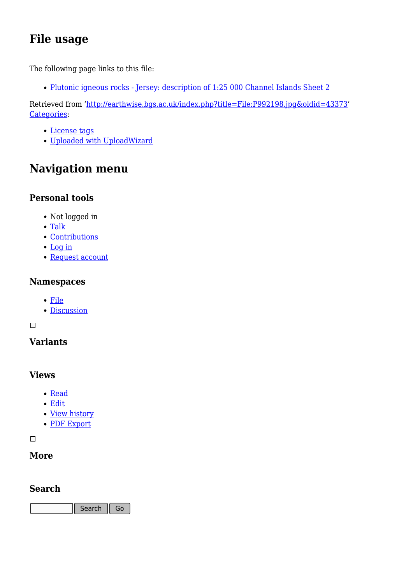### **File usage**

The following page links to this file:

• [Plutonic igneous rocks - Jersey: description of 1:25 000 Channel Islands Sheet 2](http://earthwise.bgs.ac.uk/index.php/Plutonic_igneous_rocks_-_Jersey:_description_of_1:25_000_Channel_Islands_Sheet_2)

Retrieved from ['http://earthwise.bgs.ac.uk/index.php?title=File:P992198.jpg&oldid=43373](http://earthwise.bgs.ac.uk/index.php?title=File:P992198.jpg&oldid=43373)' [Categories:](http://earthwise.bgs.ac.uk/index.php/Special:Categories)

- [License tags](http://earthwise.bgs.ac.uk/index.php/Category:License_tags)
- [Uploaded with UploadWizard](http://earthwise.bgs.ac.uk/index.php/Category:Uploaded_with_UploadWizard)

### **Navigation menu**

### **Personal tools**

- Not logged in
- [Talk](http://earthwise.bgs.ac.uk/index.php/Special:MyTalk)
- [Contributions](http://earthwise.bgs.ac.uk/index.php/Special:MyContributions)
- [Log in](http://earthwise.bgs.ac.uk/index.php?title=Special:UserLogin&returnto=File%3AP992198.jpg&returntoquery=action%3Dmpdf)
- [Request account](http://earthwise.bgs.ac.uk/index.php/Special:RequestAccount)

### **Namespaces**

- [File](http://earthwise.bgs.ac.uk/index.php/File:P992198.jpg)
- [Discussion](http://earthwise.bgs.ac.uk/index.php?title=File_talk:P992198.jpg&action=edit&redlink=1)

 $\Box$ 

### **Variants**

### **Views**

- [Read](http://earthwise.bgs.ac.uk/index.php/File:P992198.jpg)
- [Edit](http://earthwise.bgs.ac.uk/index.php?title=File:P992198.jpg&action=edit)
- [View history](http://earthwise.bgs.ac.uk/index.php?title=File:P992198.jpg&action=history)
- [PDF Export](http://earthwise.bgs.ac.uk/index.php?title=File:P992198.jpg&action=mpdf)

 $\overline{\phantom{a}}$ 

### **More**

### **Search**

Search  $\|$  Go